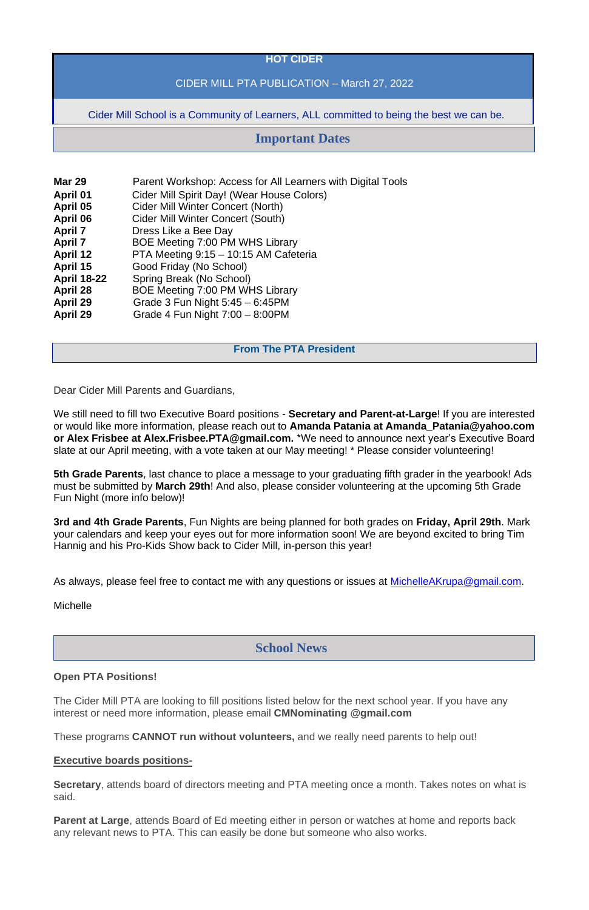### **HOT CIDER**

# CIDER MILL PTA PUBLICATION – March 27, 2022

Cider Mill School is a Community of Learners, ALL committed to being the best we can be.

| <b>Mar 29</b>      | Parent Workshop: Access for All Learners with Digital Tools |
|--------------------|-------------------------------------------------------------|
| <b>April 01</b>    | Cider Mill Spirit Day! (Wear House Colors)                  |
| April 05           | <b>Cider Mill Winter Concert (North)</b>                    |
| April 06           | <b>Cider Mill Winter Concert (South)</b>                    |
| <b>April 7</b>     | Dress Like a Bee Day                                        |
| <b>April 7</b>     | BOE Meeting 7:00 PM WHS Library                             |
| <b>April 12</b>    | PTA Meeting 9:15 - 10:15 AM Cafeteria                       |
| April 15           | Good Friday (No School)                                     |
| <b>April 18-22</b> | Spring Break (No School)                                    |
| <b>April 28</b>    | BOE Meeting 7:00 PM WHS Library                             |
| <b>April 29</b>    | Grade 3 Fun Night $5:45 - 6:45$ PM                          |
| <b>April 29</b>    | Grade 4 Fun Night $7:00 - 8:00 \text{PM}$                   |

#### **From The PTA President**

Dear Cider Mill Parents and Guardians,

We still need to fill two Executive Board positions - **Secretary and Parent-at-Large**! If you are interested or would like more information, please reach out to **Amanda Patania at Amanda\_Patania@yahoo.com or Alex Frisbee at Alex.Frisbee.PTA@gmail.com.** \*We need to announce next year's Executive Board slate at our April meeting, with a vote taken at our May meeting! \* Please consider volunteering!

**5th Grade Parents**, last chance to place a message to your graduating fifth grader in the yearbook! Ads must be submitted by **March 29th**! And also, please consider volunteering at the upcoming 5th Grade Fun Night (more info below)!

**3rd and 4th Grade Parents**, Fun Nights are being planned for both grades on **Friday, April 29th**. Mark your calendars and keep your eyes out for more information soon! We are beyond excited to bring Tim Hannig and his Pro-Kids Show back to Cider Mill, in-person this year!

As always, please feel free to contact me with any questions or issues at [MichelleAKrupa@gmail.com.](mailto:MichelleAKrupa@gmail.com)

**Michelle** 

#### **Open PTA Positions!**

The Cider Mill PTA are looking to fill positions listed below for the next school year. If you have any interest or need more information, please email **CMNominating @gmail.com**

These programs **CANNOT run without volunteers,** and we really need parents to help out!

#### **Executive boards positions-**

**Secretary**, attends board of directors meeting and PTA meeting once a month. Takes notes on what is said.

**Parent at Large**, attends Board of Ed meeting either in person or watches at home and reports back any relevant news to PTA. This can easily be done but someone who also works.

# **Important Dates**

# **School News**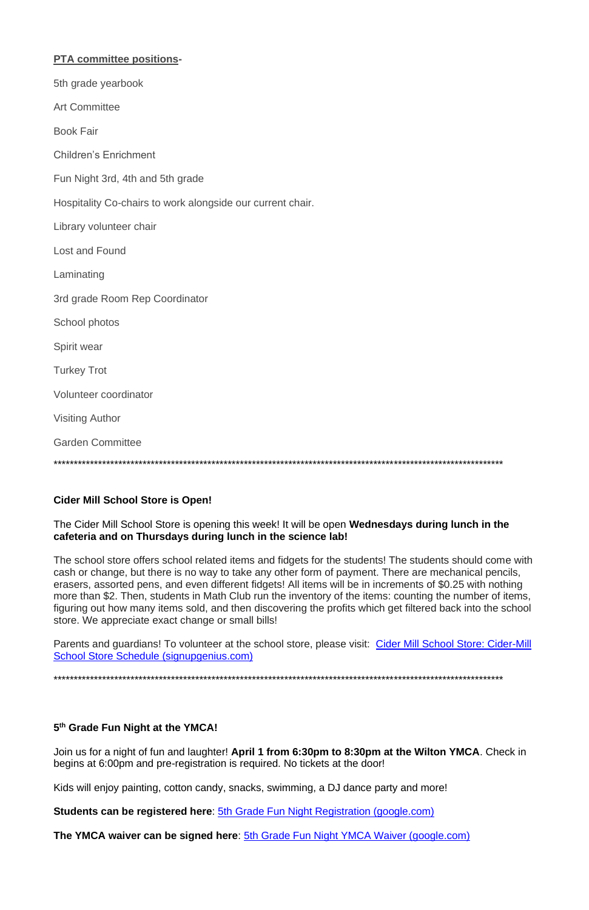| <b>PTA committee positions-</b>                            |
|------------------------------------------------------------|
| 5th grade yearbook                                         |
| <b>Art Committee</b>                                       |
| <b>Book Fair</b>                                           |
| <b>Children's Enrichment</b>                               |
| Fun Night 3rd, 4th and 5th grade                           |
| Hospitality Co-chairs to work alongside our current chair. |
| Library volunteer chair                                    |
| <b>Lost and Found</b>                                      |
| Laminating                                                 |
| 3rd grade Room Rep Coordinator                             |
| School photos                                              |
| Spirit wear                                                |
| <b>Turkey Trot</b>                                         |
| Volunteer coordinator                                      |
| <b>Visiting Author</b>                                     |
| <b>Garden Committee</b>                                    |
|                                                            |

### **Cider Mill School Store is Open!**

#### The Cider Mill School Store is opening this week! It will be open Wednesdays during lunch in the cafeteria and on Thursdays during lunch in the science lab!

The school store offers school related items and fidgets for the students! The students should come with cash or change, but there is no way to take any other form of payment. There are mechanical pencils, erasers, assorted pens, and even different fidgets! All items will be in increments of \$0.25 with nothing more than \$2. Then, students in Math Club run the inventory of the items: counting the number of items, figuring out how many items sold, and then discovering the profits which get filtered back into the school store. We appreciate exact change or small bills!

Parents and guardians! To volunteer at the school store, please visit: Cider Mill School Store: Cider-Mill School Store Schedule (signupgenius.com)

# 5<sup>th</sup> Grade Fun Night at the YMCA!

Join us for a night of fun and laughter! April 1 from 6:30pm to 8:30pm at the Wilton YMCA. Check in begins at 6:00pm and pre-registration is required. No tickets at the door!

Kids will enjoy painting, cotton candy, snacks, swimming, a DJ dance party and more!

Students can be registered here: 5th Grade Fun Night Registration (google.com)

The YMCA waiver can be signed here: 5th Grade Fun Night YMCA Waiver (google.com)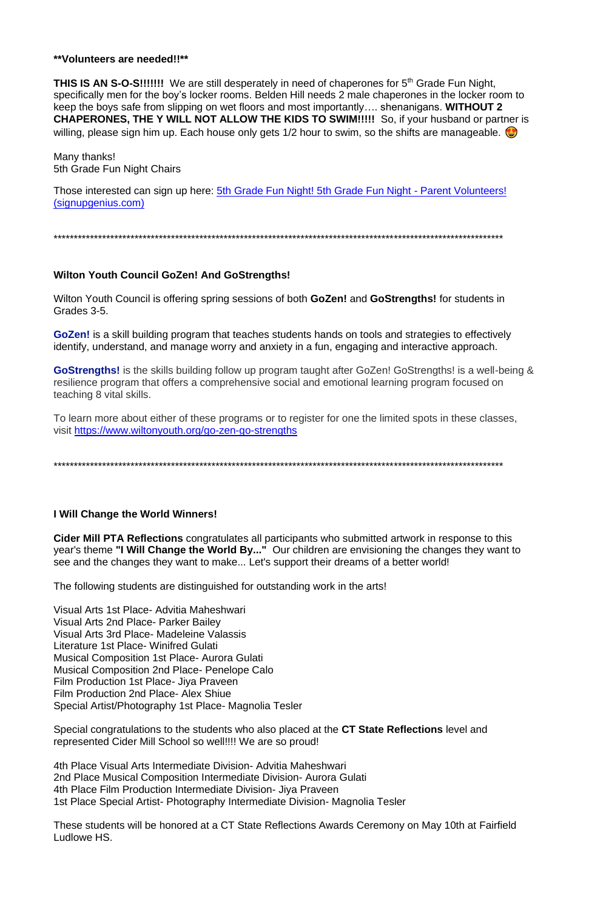#### \*\*Volunteers are needed!!\*\*

**THIS IS AN S-O-S!!!!!!!** We are still desperately in need of chaperones for 5<sup>th</sup> Grade Fun Night, specifically men for the boy's locker rooms. Belden Hill needs 2 male chaperones in the locker room to keep the boys safe from slipping on wet floors and most importantly.... shenanigans. WITHOUT 2 **CHAPERONES, THE Y WILL NOT ALLOW THE KIDS TO SWIM!!!!!** So, if your husband or partner is willing, please sign him up. Each house only gets  $1/2$  hour to swim, so the shifts are manageable.

Many thanks! 5th Grade Fun Night Chairs

Those interested can sign up here: 5th Grade Fun Night! 5th Grade Fun Night - Parent Volunteers! (signupgenius.com)

### **Wilton Youth Council GoZen! And GoStrengths!**

Wilton Youth Council is offering spring sessions of both GoZen! and GoStrengths! for students in Grades 3-5.

GoZen! is a skill building program that teaches students hands on tools and strategies to effectively identify, understand, and manage worry and anxiety in a fun, engaging and interactive approach.

GoStrengths! is the skills building follow up program taught after GoZen! GoStrengths! is a well-being & resilience program that offers a comprehensive social and emotional learning program focused on teaching 8 vital skills.

To learn more about either of these programs or to register for one the limited spots in these classes, visit https://www.wiltonyouth.org/go-zen-go-strengths

### I Will Change the World Winners!

Cider Mill PTA Reflections congratulates all participants who submitted artwork in response to this year's theme "I Will Change the World By..." Our children are envisioning the changes they want to see and the changes they want to make... Let's support their dreams of a better world!

The following students are distinguished for outstanding work in the arts!

Visual Arts 1st Place- Advitia Maheshwari Visual Arts 2nd Place- Parker Bailey Visual Arts 3rd Place- Madeleine Valassis Literature 1st Place- Winifred Gulati **Musical Composition 1st Place- Aurora Gulati Musical Composition 2nd Place- Penelope Calo** Film Production 1st Place- Jiya Praveen Film Production 2nd Place- Alex Shiue Special Artist/Photography 1st Place- Magnolia Tesler

Special congratulations to the students who also placed at the CT State Reflections level and represented Cider Mill School so well!!!! We are so proud!

4th Place Visual Arts Intermediate Division- Advitia Maheshwari 2nd Place Musical Composition Intermediate Division-Aurora Gulati 4th Place Film Production Intermediate Division- Jiya Praveen 1st Place Special Artist- Photography Intermediate Division- Magnolia Tesler

These students will be honored at a CT State Reflections Awards Ceremony on May 10th at Fairfield Ludlowe HS.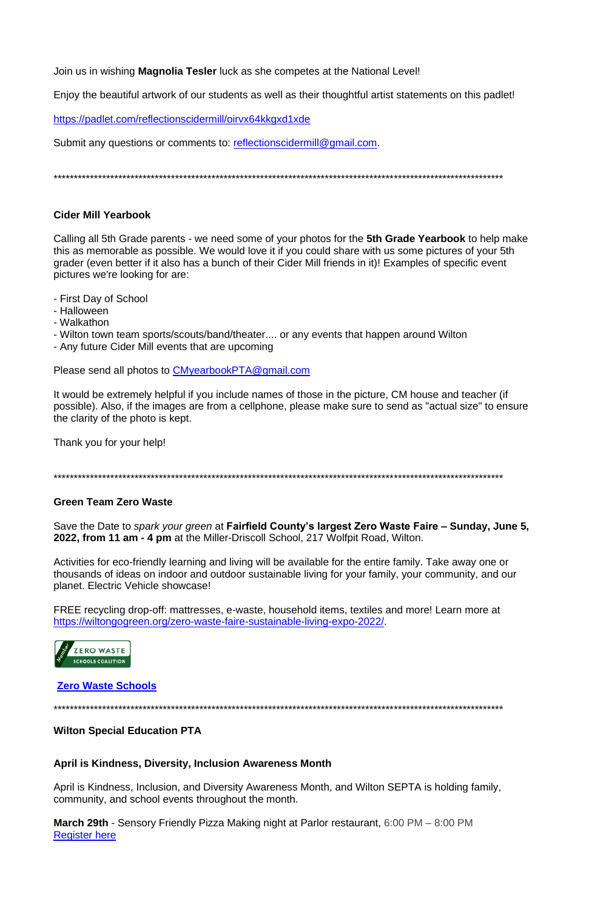Join us in wishing **Magnolia Tesler** luck as she competes at the National Level!

Enjoy the beautiful artwork of our students as well as their thoughtful artist statements on this padlet!

https://padlet.com/reflectionscidermill/oirvx64kkgxd1xde

Submit any questions or comments to: reflectionscidermill@gmail.com.

# **Cider Mill Yearbook**

Calling all 5th Grade parents - we need some of your photos for the 5th Grade Yearbook to help make this as memorable as possible. We would love it if you could share with us some pictures of your 5th grader (even better if it also has a bunch of their Cider Mill friends in it)! Examples of specific event pictures we're looking for are:

- First Day of School
- Halloween
- Walkathon
- Wilton town team sports/scouts/band/theater.... or any events that happen around Wilton
- Any future Cider Mill events that are upcoming

Please send all photos to CMyearbookPTA@gmail.com

It would be extremely helpful if you include names of those in the picture. CM house and teacher (if possible). Also, if the images are from a cellphone, please make sure to send as "actual size" to ensure the clarity of the photo is kept.

Thank you for your help!

# **Green Team Zero Waste**

Save the Date to spark your green at Fairfield County's largest Zero Waste Faire - Sunday, June 5, 2022, from 11 am - 4 pm at the Miller-Driscoll School, 217 Wolfpit Road, Wilton.

Activities for eco-friendly learning and living will be available for the entire family. Take away one or thousands of ideas on indoor and outdoor sustainable living for your family, your community, and our planet. Electric Vehicle showcase!

FREE recycling drop-off: mattresses, e-waste, household items, textiles and more! Learn more at https://wiltongogreen.org/zero-waste-faire-sustainable-living-expo-2022/.



### **Wilton Special Education PTA**

### April is Kindness, Diversity, Inclusion Awareness Month

April is Kindness, Inclusion, and Diversity Awareness Month, and Wilton SEPTA is holding family, community, and school events throughout the month.

March 29th - Sensory Friendly Pizza Making night at Parlor restaurant, 6:00 PM – 8:00 PM **Register here**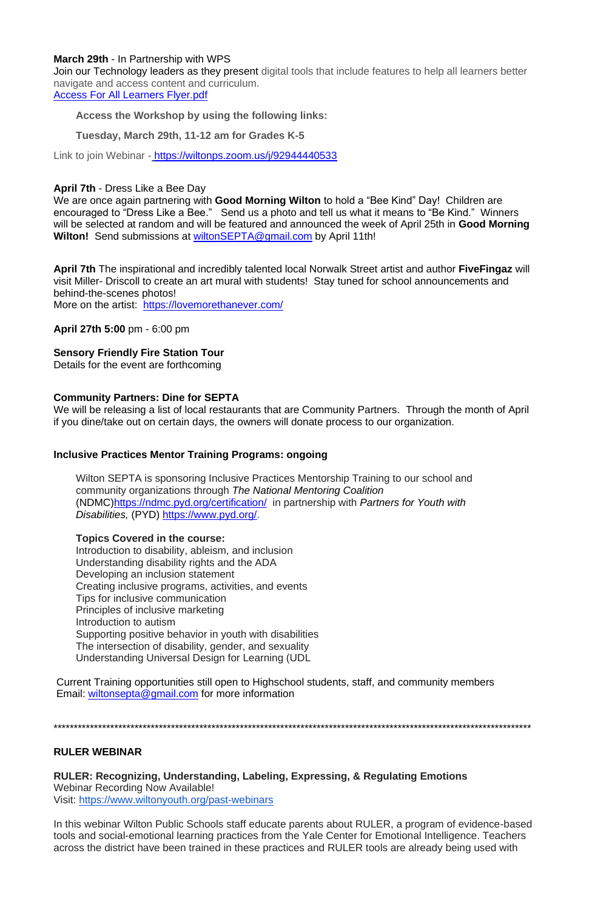#### **March 29th** - In Partnership with WPS

Join our Technology leaders as they present digital tools that include features to help all learners better navigate and access content and curriculum. [Access For All Learners Flyer.pdf](https://drive.google.com/open?id=1Q8I3Cvtp-N4-R1NGhuxROx1zUP_5ox3C)

**Access the Workshop by using the following links:**

### **Tuesday, March 29th, 11-12 am for Grades K-5**

Link to join Webinar [-](https://nam12.safelinks.protection.outlook.com/?url=http%3A%2F%2Ftrack.spe.schoolmessenger.com%2Ff%2Fa%2F1zxvPupzIQpHyePMA44XMg~~%2FAAAAAQA~%2FRgRkGixGP0QmaHR0cHM6Ly93aWx0b25wcy56b29tLnVzL2ovOTI5NDQ0NDA1MzNXB3NjaG9vbG1CCmIqxvg4Yipql2tSGEthcmFiZXJnaGF1c0Bob3RtYWlsLmNvbVgEAAAAAQ~~&data=04%7C01%7C%7Cfe5a670ad90f48f471af08da0b882bce%7C84df9e7fe9f640afb435aaaaaaaaaaaa%7C1%7C0%7C637834976721297557%7CUnknown%7CTWFpbGZsb3d8eyJWIjoiMC4wLjAwMDAiLCJQIjoiV2luMzIiLCJBTiI6Ik1haWwiLCJXVCI6Mn0%3D%7C3000&sdata=5WZ6%2BNPkUjufY37%2FeHTfNLQE6HuJAw3ihcPW2UWTDHs%3D&reserved=0) <https://wiltonps.zoom.us/j/92944440533>

**April 7th** The inspirational and incredibly talented local Norwalk Street artist and author **FiveFingaz** will visit Miller- Driscoll to create an art mural with students! Stay tuned for school announcements and behind-the-scenes photos! More on the artist: <https://lovemorethanever.com/>

#### **April 7th** - Dress Like a Bee Day

We are once again partnering with **Good Morning Wilton** to hold a "Bee Kind" Day! Children are encouraged to "Dress Like a Bee." Send us a photo and tell us what it means to "Be Kind." Winners will be selected at random and will be featured and announced the week of April 25th in **Good Morning Wilton!** Send submissions at [wiltonSEPTA@gmail.com](mailto:wiltonSEPTA@gmail.com) by April 11th!

**April 27th 5:00** pm - 6:00 pm

### **Sensory Friendly Fire Station Tour**

Details for the event are forthcoming

#### **Community Partners: Dine for SEPTA**

We will be releasing a list of local restaurants that are Community Partners. Through the month of April if you dine/take out on certain days, the owners will donate process to our organization.

### **Inclusive Practices Mentor Training Programs: ongoing**

Wilton SEPTA is sponsoring Inclusive Practices Mentorship Training to our school and community organizations through *The National Mentoring Coalition* (NDMC[\)https://ndmc.pyd.org/certification/](https://nam12.safelinks.protection.outlook.com/?url=https%3A%2F%2Fndmc.pyd.org%2Fcertification%2F&data=04%7C01%7C%7C7cbb8fd0a3cf4b12544308d9fe2abef9%7C84df9e7fe9f640afb435aaaaaaaaaaaa%7C1%7C0%7C637820281813733954%7CUnknown%7CTWFpbGZsb3d8eyJWIjoiMC4wLjAwMDAiLCJQIjoiV2luMzIiLCJBTiI6Ik1haWwiLCJXVCI6Mn0%3D%7C3000&sdata=I1fItbcSqlZkyqjtSBIrpFoT7HvwmolEmWUnXA9KN5s%3D&reserved=0) in partnership with *Partners for Youth with Disabilities,* (PYD) [https://www.pyd.org/.](https://nam12.safelinks.protection.outlook.com/?url=https%3A%2F%2Fwww.pyd.org%2F&data=04%7C01%7C%7C7cbb8fd0a3cf4b12544308d9fe2abef9%7C84df9e7fe9f640afb435aaaaaaaaaaaa%7C1%7C0%7C637820281813733954%7CUnknown%7CTWFpbGZsb3d8eyJWIjoiMC4wLjAwMDAiLCJQIjoiV2luMzIiLCJBTiI6Ik1haWwiLCJXVCI6Mn0%3D%7C3000&sdata=UN%2Br9%2F6hR5gq37A6O32EXaxMB%2FxbIWOpcdGM9tvti38%3D&reserved=0)

#### **Topics Covered in the course:**

Introduction to disability, ableism, and inclusion Understanding disability rights and the ADA Developing an inclusion statement Creating inclusive programs, activities, and events Tips for inclusive communication Principles of inclusive marketing Introduction to autism Supporting positive behavior in youth with disabilities The intersection of disability, gender, and sexuality Understanding Universal Design for Learning (UDL

Current Training opportunities still open to Highschool students, staff, and community members Email: [wiltonsepta@gmail.com](mailto:wiltonsepta@gmail.com) for more information

\*\*\*\*\*\*\*\*\*\*\*\*\*\*\*\*\*\*\*\*\*\*\*\*\*\*\*\*\*\*\*\*\*\*\*\*\*\*\*\*\*\*\*\*\*\*\*\*\*\*\*\*\*\*\*\*\*\*\*\*\*\*\*\*\*\*\*\*\*\*\*\*\*\*\*\*\*\*\*\*\*\*\*\*\*\*\*\*\*\*\*\*\*\*\*\*\*\*\*\*\*\*\*\*\*\*\*\*\*\*\*\*\*\*\*\*\*\*

### **RULER WEBINAR**

**RULER: Recognizing, Understanding, Labeling, Expressing, & Regulating Emotions** Webinar Recording Now Available! Visit: <https://www.wiltonyouth.org/past-webinars>

In this webinar Wilton Public Schools staff educate parents about RULER, a program of evidence-based tools and social-emotional learning practices from the Yale Center for Emotional Intelligence. Teachers across the district have been trained in these practices and RULER tools are already being used with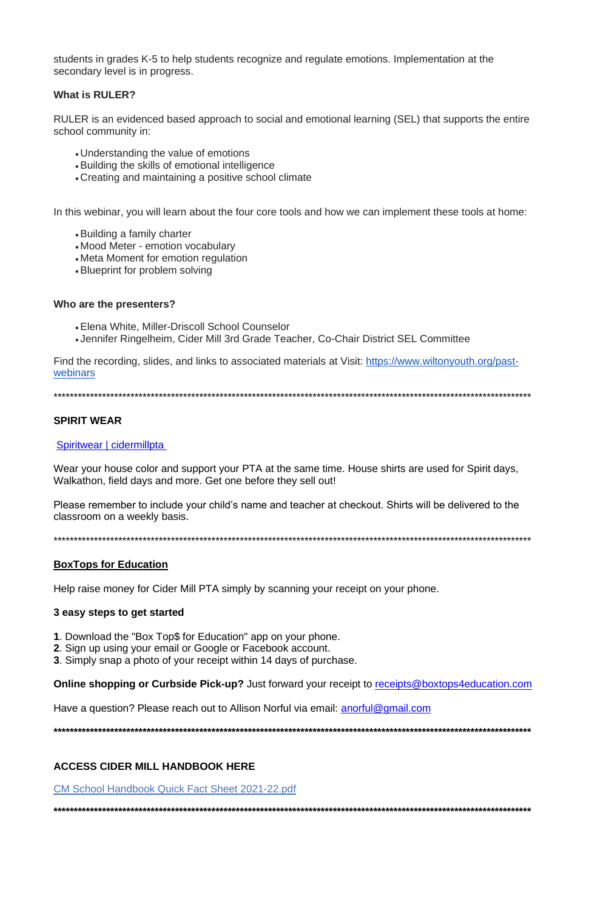students in grades K-5 to help students recognize and regulate emotions. Implementation at the secondary level is in progress.

# **What is RULER?**

RULER is an evidenced based approach to social and emotional learning (SEL) that supports the entire school community in:

- Understanding the value of emotions
- Building the skills of emotional intelligence
- Creating and maintaining a positive school climate

In this webinar, you will learn about the four core tools and how we can implement these tools at home:

- Building a family charter
- Mood Meter emotion vocabulary
- Meta Moment for emotion regulation
- Blueprint for problem solving

### Who are the presenters?

- Elena White, Miller-Driscoll School Counselor
- Jennifer Ringelheim, Cider Mill 3rd Grade Teacher, Co-Chair District SEL Committee

Find the recording, slides, and links to associated materials at Visit: https://www.wiltonyouth.org/pastwebinars

# **SPIRIT WEAR**

### Spiritwear | cidermillpta

Wear your house color and support your PTA at the same time. House shirts are used for Spirit days, Walkathon, field days and more. Get one before they sell out!

Please remember to include your child's name and teacher at checkout. Shirts will be delivered to the classroom on a weekly basis.

### **BoxTops for Education**

Help raise money for Cider Mill PTA simply by scanning your receipt on your phone.

### 3 easy steps to get started

- 1. Download the "Box Top\$ for Education" app on your phone.
- 2. Sign up using your email or Google or Facebook account.
- 3. Simply snap a photo of your receipt within 14 days of purchase.

**Online shopping or Curbside Pick-up?** Just forward your receipt to receipts@boxtops4education.com

Have a question? Please reach out to Allison Norful via email: anorful@gmail.com

#### **ACCESS CIDER MILL HANDBOOK HERE**

**CM School Handbook Quick Fact Sheet 2021-22.pdf**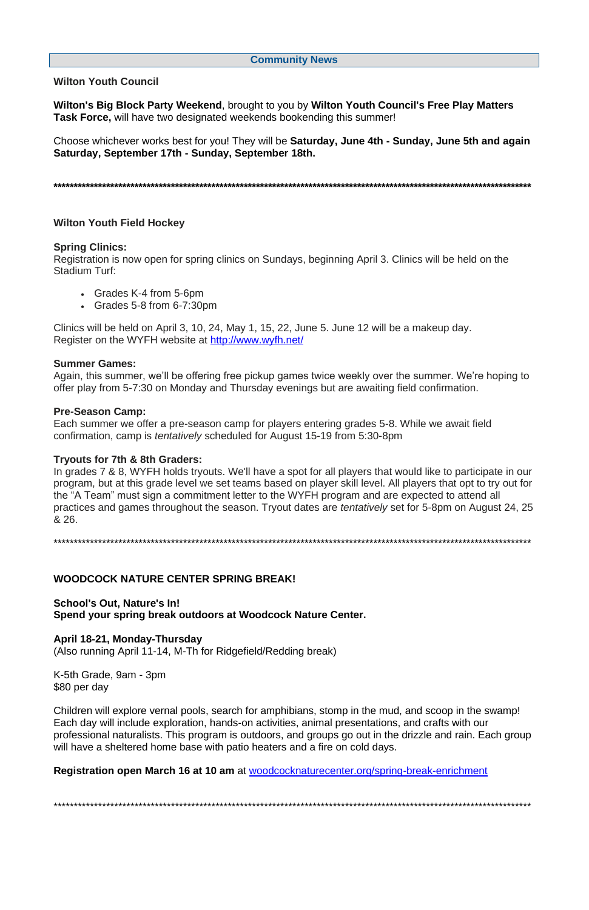#### **Community News**

**Wilton Youth Council**

**Wilton's Big Block Party Weekend**, brought to you by **Wilton Youth Council's Free Play Matters Task Force,** will have two designated weekends bookending this summer!

Choose whichever works best for you! They will be **Saturday, June 4th - Sunday, June 5th and again Saturday, September 17th - Sunday, September 18th.**

**\*\*\*\*\*\*\*\*\*\*\*\*\*\*\*\*\*\*\*\*\*\*\*\*\*\*\*\*\*\*\*\*\*\*\*\*\*\*\*\*\*\*\*\*\*\*\*\*\*\*\*\*\*\*\*\*\*\*\*\*\*\*\*\*\*\*\*\*\*\*\*\*\*\*\*\*\*\*\*\*\*\*\*\*\*\*\*\*\*\*\*\*\*\*\*\*\*\*\*\*\*\*\*\*\*\*\*\*\*\*\*\*\*\*\*\*\*\***

#### **Wilton Youth Field Hockey**

#### **Spring Clinics:**

Registration is now open for spring clinics on Sundays, beginning April 3. Clinics will be held on the Stadium Turf:

- Grades K-4 from 5-6pm
- Grades 5-8 from 6-7:30pm

Clinics will be held on April 3, 10, 24, May 1, 15, 22, June 5. June 12 will be a makeup day. Register on the WYFH website at <http://www.wyfh.net/>

#### **Summer Games:**

Again, this summer, we'll be offering free pickup games twice weekly over the summer. We're hoping to offer play from 5-7:30 on Monday and Thursday evenings but are awaiting field confirmation.

#### **Pre-Season Camp:**

Each summer we offer a pre-season camp for players entering grades 5-8. While we await field confirmation, camp is *tentatively* scheduled for August 15-19 from 5:30-8pm

#### **Tryouts for 7th & 8th Graders:**

In grades 7 & 8, WYFH holds tryouts. We'll have a spot for all players that would like to participate in our program, but at this grade level we set teams based on player skill level. All players that opt to try out for the "A Team" must sign a commitment letter to the WYFH program and are expected to attend all practices and games throughout the season. Tryout dates are *tentatively* set for 5-8pm on August 24, 25 & 26.

\*\*\*\*\*\*\*\*\*\*\*\*\*\*\*\*\*\*\*\*\*\*\*\*\*\*\*\*\*\*\*\*\*\*\*\*\*\*\*\*\*\*\*\*\*\*\*\*\*\*\*\*\*\*\*\*\*\*\*\*\*\*\*\*\*\*\*\*\*\*\*\*\*\*\*\*\*\*\*\*\*\*\*\*\*\*\*\*\*\*\*\*\*\*\*\*\*\*\*\*\*\*\*\*\*\*\*\*\*\*\*\*\*\*\*\*\*\*

#### **WOODCOCK NATURE CENTER SPRING BREAK!**

**School's Out, Nature's In! Spend your spring break outdoors at Woodcock Nature Center.**

#### **April 18-21, Monday-Thursday**

(Also running April 11-14, M-Th for Ridgefield/Redding break)

K-5th Grade, 9am - 3pm \$80 per day

Children will explore vernal pools, search for amphibians, stomp in the mud, and scoop in the swamp! Each day will include exploration, hands-on activities, animal presentations, and crafts with our professional naturalists. This program is outdoors, and groups go out in the drizzle and rain. Each group will have a sheltered home base with patio heaters and a fire on cold days.

**Registration open March 16 at 10 am** at [woodcocknaturecenter.org/spring-break-enrichment](http://woodcocknaturecenter.org/spring-break-enrichment)

\*\*\*\*\*\*\*\*\*\*\*\*\*\*\*\*\*\*\*\*\*\*\*\*\*\*\*\*\*\*\*\*\*\*\*\*\*\*\*\*\*\*\*\*\*\*\*\*\*\*\*\*\*\*\*\*\*\*\*\*\*\*\*\*\*\*\*\*\*\*\*\*\*\*\*\*\*\*\*\*\*\*\*\*\*\*\*\*\*\*\*\*\*\*\*\*\*\*\*\*\*\*\*\*\*\*\*\*\*\*\*\*\*\*\*\*\*\*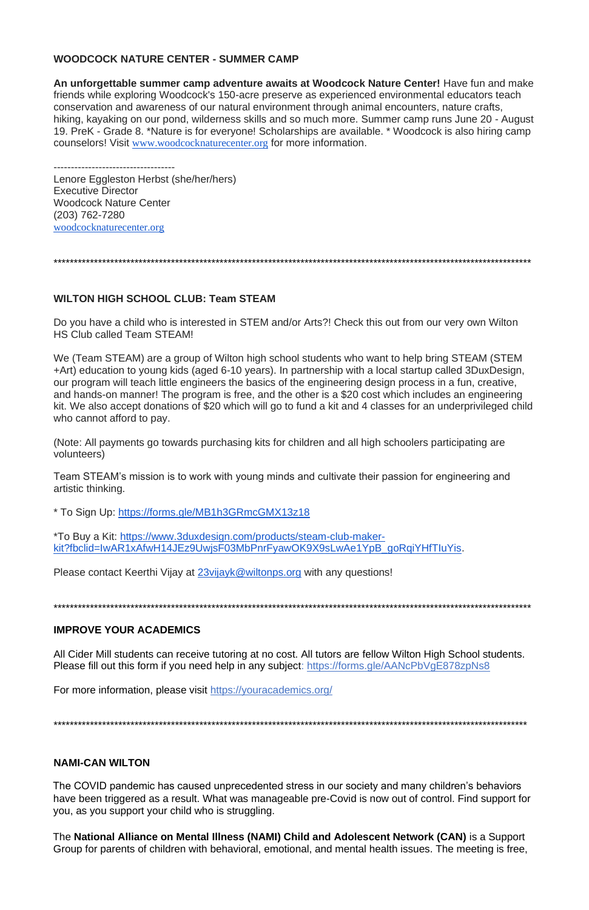# **WOODCOCK NATURE CENTER - SUMMER CAMP**

**An unforgettable summer camp adventure awaits at Woodcock Nature Center!** Have fun and make friends while exploring Woodcock's 150-acre preserve as experienced environmental educators teach conservation and awareness of our natural environment through animal encounters, nature crafts, hiking, kayaking on our pond, wilderness skills and so much more. Summer camp runs June 20 - August 19. PreK - Grade 8. \*Nature is for everyone! Scholarships are available. \* Woodcock is also hiring camp counselors! Visit [www.woodcocknaturecenter.org](http://www.woodcocknaturecenter.org/) for more information.

----------------------------------- Lenore Eggleston Herbst (she/her/hers) Executive Director Woodcock Nature Center (203) 762-7280 [woodcocknaturecenter.org](http://www.woodcocknaturecenter.org/)

\*\*\*\*\*\*\*\*\*\*\*\*\*\*\*\*\*\*\*\*\*\*\*\*\*\*\*\*\*\*\*\*\*\*\*\*\*\*\*\*\*\*\*\*\*\*\*\*\*\*\*\*\*\*\*\*\*\*\*\*\*\*\*\*\*\*\*\*\*\*\*\*\*\*\*\*\*\*\*\*\*\*\*\*\*\*\*\*\*\*\*\*\*\*\*\*\*\*\*\*\*\*\*\*\*\*\*\*\*\*\*\*\*\*\*\*\*\*

### **WILTON HIGH SCHOOL CLUB: Team STEAM**

Do you have a child who is interested in STEM and/or Arts?! Check this out from our very own Wilton HS Club called Team STEAM!

All Cider Mill students can receive tutoring at no cost. All tutors are fellow Wilton High School students. Please fill out this form if you need help in any subject: <https://forms.gle/AANcPbVgE878zpNs8>

We (Team STEAM) are a group of Wilton high school students who want to help bring STEAM (STEM +Art) education to young kids (aged 6-10 years). In partnership with a local startup called 3DuxDesign, our program will teach little engineers the basics of the engineering design process in a fun, creative, and hands-on manner! The program is free, and the other is a \$20 cost which includes an engineering kit. We also accept donations of \$20 which will go to fund a kit and 4 classes for an underprivileged child who cannot afford to pay.

(Note: All payments go towards purchasing kits for children and all high schoolers participating are volunteers)

Team STEAM's mission is to work with young minds and cultivate their passion for engineering and artistic thinking.

\* To Sign Up: <https://forms.gle/MB1h3GRmcGMX13z18>

\*To Buy a Kit: [https://www.3duxdesign.com/products/steam-club-maker](https://www.3duxdesign.com/products/steam-club-maker-kit?fbclid=IwAR1xAfwH14JEz9UwjsF03MbPnrFyawOK9X9sLwAe1YpB_goRqiYHfTIuYis)[kit?fbclid=IwAR1xAfwH14JEz9UwjsF03MbPnrFyawOK9X9sLwAe1YpB\\_goRqiYHfTIuYis.](https://www.3duxdesign.com/products/steam-club-maker-kit?fbclid=IwAR1xAfwH14JEz9UwjsF03MbPnrFyawOK9X9sLwAe1YpB_goRqiYHfTIuYis)

Please contact Keerthi Vijay at [23vijayk@wiltonps.org](mailto:23vijayk@wiltonps.org) with any questions!

\*\*\*\*\*\*\*\*\*\*\*\*\*\*\*\*\*\*\*\*\*\*\*\*\*\*\*\*\*\*\*\*\*\*\*\*\*\*\*\*\*\*\*\*\*\*\*\*\*\*\*\*\*\*\*\*\*\*\*\*\*\*\*\*\*\*\*\*\*\*\*\*\*\*\*\*\*\*\*\*\*\*\*\*\*\*\*\*\*\*\*\*\*\*\*\*\*\*\*\*\*\*\*\*\*\*\*\*\*\*\*\*\*\*\*\*\*\*

### **IMPROVE YOUR ACADEMICS**

For more information, please visit <https://youracademics.org/>

\*\*\*\*\*\*\*\*\*\*\*\*\*\*\*\*\*\*\*\*\*\*\*\*\*\*\*\*\*\*\*\*\*\*\*\*\*\*\*\*\*\*\*\*\*\*\*\*\*\*\*\*\*\*\*\*\*\*\*\*\*\*\*\*\*\*\*\*\*\*\*\*\*\*\*\*\*\*\*\*\*\*\*\*\*\*\*\*\*\*\*\*\*\*\*\*\*\*\*\*\*\*\*\*\*\*\*\*\*\*\*\*\*\*\*\*\*

#### **NAMI-CAN WILTON**

The COVID pandemic has caused unprecedented stress in our society and many children's behaviors have been triggered as a result. What was manageable pre-Covid is now out of control. Find support for you, as you support your child who is struggling.

The **National Alliance on Mental Illness (NAMI) Child and Adolescent Network (CAN)** is a Support Group for parents of children with behavioral, emotional, and mental health issues. The meeting is free,